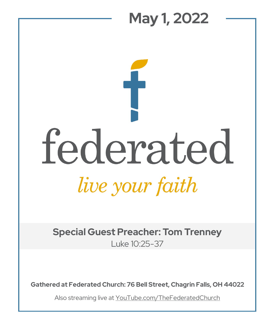## **May 1, 2022**  federated live your faith

**Special Guest Preacher: Tom Trenney** Luke 10:25-37

**Gathered at Federated Church: 76 Bell Street, Chagrin Falls, OH 44022**

Also streaming live at YouTube.com/TheFederatedChurch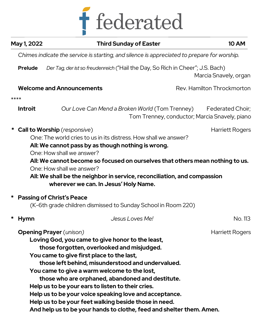

| May 1, 2022    | <b>Third Sunday of Easter</b>                                                                                                                                                                                                                                                                                                                                                                                                                                                                                                                                                          | <b>10 AM</b>               |
|----------------|----------------------------------------------------------------------------------------------------------------------------------------------------------------------------------------------------------------------------------------------------------------------------------------------------------------------------------------------------------------------------------------------------------------------------------------------------------------------------------------------------------------------------------------------------------------------------------------|----------------------------|
|                | Chimes indicate the service is starting, and silence is appreciated to prepare for worship.                                                                                                                                                                                                                                                                                                                                                                                                                                                                                            |                            |
| <b>Prelude</b> | Der Tag, der ist so freudenreich ("Hail the Day, So Rich in Cheer"; J.S. Bach)                                                                                                                                                                                                                                                                                                                                                                                                                                                                                                         | Marcia Snavely, organ      |
|                | <b>Welcome and Announcements</b>                                                                                                                                                                                                                                                                                                                                                                                                                                                                                                                                                       | Rev. Hamilton Throckmorton |
| ****           |                                                                                                                                                                                                                                                                                                                                                                                                                                                                                                                                                                                        |                            |
| <b>Introit</b> | Our Love Can Mend a Broken World (Tom Trenney)<br>Tom Trenney, conductor; Marcia Snavely, piano                                                                                                                                                                                                                                                                                                                                                                                                                                                                                        | Federated Choir;           |
|                | <b>Call to Worship</b> (responsive)<br>One: The world cries to us in its distress. How shall we answer?<br>All: We cannot pass by as though nothing is wrong.<br>One: How shall we answer?<br>All: We cannot become so focused on ourselves that others mean nothing to us.<br>One: How shall we answer?<br>All: We shall be the neighbor in service, reconciliation, and compassion<br>wherever we can. In Jesus' Holy Name.                                                                                                                                                          | Harriett Rogers            |
| *              | <b>Passing of Christ's Peace</b><br>(K-6th grade children dismissed to Sunday School in Room 220)                                                                                                                                                                                                                                                                                                                                                                                                                                                                                      |                            |
|                |                                                                                                                                                                                                                                                                                                                                                                                                                                                                                                                                                                                        |                            |
| *<br>Hymn      | Jesus Loves Me!                                                                                                                                                                                                                                                                                                                                                                                                                                                                                                                                                                        | No. 113                    |
|                | <b>Opening Prayer</b> (unison)<br>Loving God, you came to give honor to the least,<br>those forgotten, overlooked and misjudged.<br>You came to give first place to the last,<br>those left behind, misunderstood and undervalued.<br>You came to give a warm welcome to the lost,<br>those who are orphaned, abandoned and destitute.<br>Help us to be your ears to listen to their cries.<br>Help us to be your voice speaking love and acceptance.<br>Help us to be your feet walking beside those in need.<br>And help us to be your hands to clothe, feed and shelter them. Amen. | Harriett Rogers            |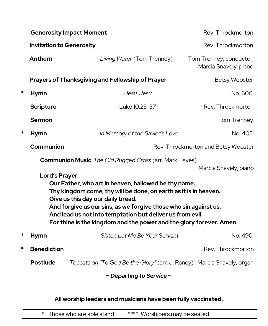|                                                                                                                                                                                                                                                                                                                                                     | <b>Generosity Impact Moment</b>         |                                                                        | Rev. Throckmorton                                |  |
|-----------------------------------------------------------------------------------------------------------------------------------------------------------------------------------------------------------------------------------------------------------------------------------------------------------------------------------------------------|-----------------------------------------|------------------------------------------------------------------------|--------------------------------------------------|--|
|                                                                                                                                                                                                                                                                                                                                                     | <b>Invitation to Generosity</b>         |                                                                        | Rev. Throckmorton                                |  |
|                                                                                                                                                                                                                                                                                                                                                     | Anthem                                  | Living Water (Tom Trenney)                                             | Tom Trenney, conductor;<br>Marcia Snavely, piano |  |
| Prayers of Thanksgiving and Fellowship of Prayer                                                                                                                                                                                                                                                                                                    |                                         |                                                                        | <b>Betsy Wooster</b>                             |  |
| *                                                                                                                                                                                                                                                                                                                                                   | <b>Hymn</b>                             | Jesu, Jesu                                                             | No. 600                                          |  |
|                                                                                                                                                                                                                                                                                                                                                     | <b>Scripture</b>                        | Luke 10:25-37                                                          | Rev. Throckmorton                                |  |
|                                                                                                                                                                                                                                                                                                                                                     | <b>Sermon</b>                           |                                                                        | Tom Trenney                                      |  |
| *                                                                                                                                                                                                                                                                                                                                                   | <b>Hymn</b>                             | In Memory of the Savior's Love                                         | No. 405                                          |  |
|                                                                                                                                                                                                                                                                                                                                                     | Communion                               | Rev. Throckmorton and Betsy Wooster                                    |                                                  |  |
| <b>Communion Music</b> The Old Rugged Cross (arr. Mark Hayes)<br>Marcia Snavely, piano<br><b>Lord's Prayer</b><br>Our Father, who art in heaven, hallowed be thy name.<br>Thy kingdom come, thy will be done, on earth as it is in heaven.<br>Give us this day our daily bread.<br>And forgive us our sins, as we forgive those who sin against us. |                                         |                                                                        |                                                  |  |
| And lead us not into temptation but deliver us from evil.<br>For thine is the kingdom and the power and the glory forever. Amen.                                                                                                                                                                                                                    |                                         |                                                                        |                                                  |  |
| *                                                                                                                                                                                                                                                                                                                                                   | <b>Hymn</b>                             | Sister, Let Me Be Your Servant                                         | No. 490                                          |  |
| ∗                                                                                                                                                                                                                                                                                                                                                   | <b>Benediction</b><br>Rev. Throckmorton |                                                                        |                                                  |  |
|                                                                                                                                                                                                                                                                                                                                                     | <b>Postlude</b>                         | Toccata on "To God Be the Glory" (arr. J. Raney) Marcia Snavely, organ |                                                  |  |
| $\sim$ Departing to Service $\sim$                                                                                                                                                                                                                                                                                                                  |                                         |                                                                        |                                                  |  |

**All worship leaders and musicians have been fully vaccinated.**